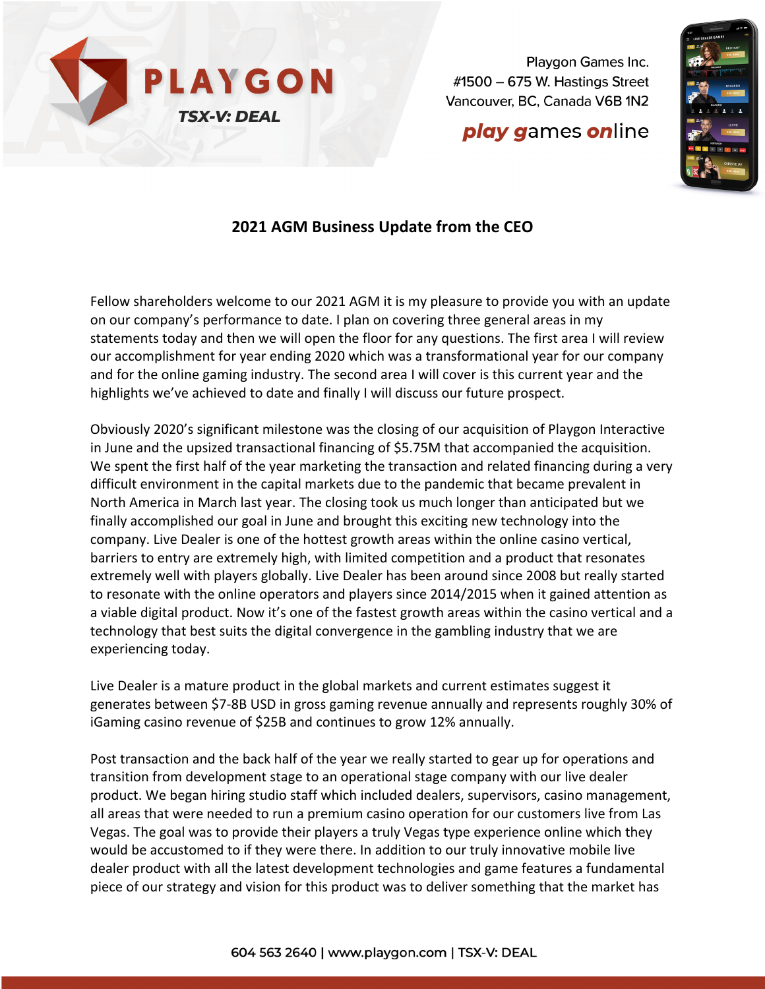

**play games online** 



## **2021 AGM Business Update from the CEO**

Fellow shareholders welcome to our 2021 AGM it is my pleasure to provide you with an update on our company's performance to date. I plan on covering three general areas in my statements today and then we will open the floor for any questions. The first area I will review our accomplishment for year ending 2020 which was a transformational year for our company and for the online gaming industry. The second area I will cover is this current year and the highlights we've achieved to date and finally I will discuss our future prospect.

Obviously 2020's significant milestone was the closing of our acquisition of Playgon Interactive in June and the upsized transactional financing of \$5.75M that accompanied the acquisition. We spent the first half of the year marketing the transaction and related financing during a very difficult environment in the capital markets due to the pandemic that became prevalent in North America in March last year. The closing took us much longer than anticipated but we finally accomplished our goal in June and brought this exciting new technology into the company. Live Dealer is one of the hottest growth areas within the online casino vertical, barriers to entry are extremely high, with limited competition and a product that resonates extremely well with players globally. Live Dealer has been around since 2008 but really started to resonate with the online operators and players since 2014/2015 when it gained attention as a viable digital product. Now it's one of the fastest growth areas within the casino vertical and a technology that best suits the digital convergence in the gambling industry that we are experiencing today.

Live Dealer is a mature product in the global markets and current estimates suggest it generates between \$7-8B USD in gross gaming revenue annually and represents roughly 30% of iGaming casino revenue of \$25B and continues to grow 12% annually.

Post transaction and the back half of the year we really started to gear up for operations and transition from development stage to an operational stage company with our live dealer product. We began hiring studio staff which included dealers, supervisors, casino management, all areas that were needed to run a premium casino operation for our customers live from Las Vegas. The goal was to provide their players a truly Vegas type experience online which they would be accustomed to if they were there. In addition to our truly innovative mobile live dealer product with all the latest development technologies and game features a fundamental piece of our strategy and vision for this product was to deliver something that the market has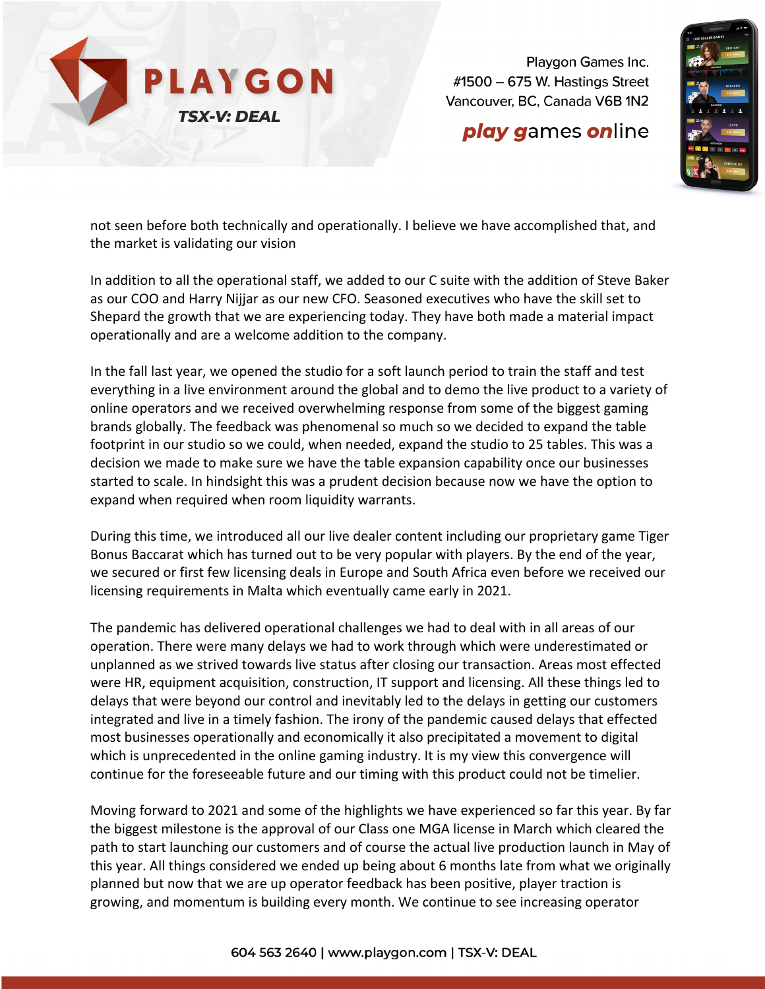

## **play games online**



not seen before both technically and operationally. I believe we have accomplished that, and the market is validating our vision

In addition to all the operational staff, we added to our C suite with the addition of Steve Baker as our COO and Harry Nijjar as our new CFO. Seasoned executives who have the skill set to Shepard the growth that we are experiencing today. They have both made a material impact operationally and are a welcome addition to the company.

In the fall last year, we opened the studio for a soft launch period to train the staff and test everything in a live environment around the global and to demo the live product to a variety of online operators and we received overwhelming response from some of the biggest gaming brands globally. The feedback was phenomenal so much so we decided to expand the table footprint in our studio so we could, when needed, expand the studio to 25 tables. This was a decision we made to make sure we have the table expansion capability once our businesses started to scale. In hindsight this was a prudent decision because now we have the option to expand when required when room liquidity warrants.

During this time, we introduced all our live dealer content including our proprietary game Tiger Bonus Baccarat which has turned out to be very popular with players. By the end of the year, we secured or first few licensing deals in Europe and South Africa even before we received our licensing requirements in Malta which eventually came early in 2021.

The pandemic has delivered operational challenges we had to deal with in all areas of our operation. There were many delays we had to work through which were underestimated or unplanned as we strived towards live status after closing our transaction. Areas most effected were HR, equipment acquisition, construction, IT support and licensing. All these things led to delays that were beyond our control and inevitably led to the delays in getting our customers integrated and live in a timely fashion. The irony of the pandemic caused delays that effected most businesses operationally and economically it also precipitated a movement to digital which is unprecedented in the online gaming industry. It is my view this convergence will continue for the foreseeable future and our timing with this product could not be timelier.

Moving forward to 2021 and some of the highlights we have experienced so far this year. By far the biggest milestone is the approval of our Class one MGA license in March which cleared the path to start launching our customers and of course the actual live production launch in May of this year. All things considered we ended up being about 6 months late from what we originally planned but now that we are up operator feedback has been positive, player traction is growing, and momentum is building every month. We continue to see increasing operator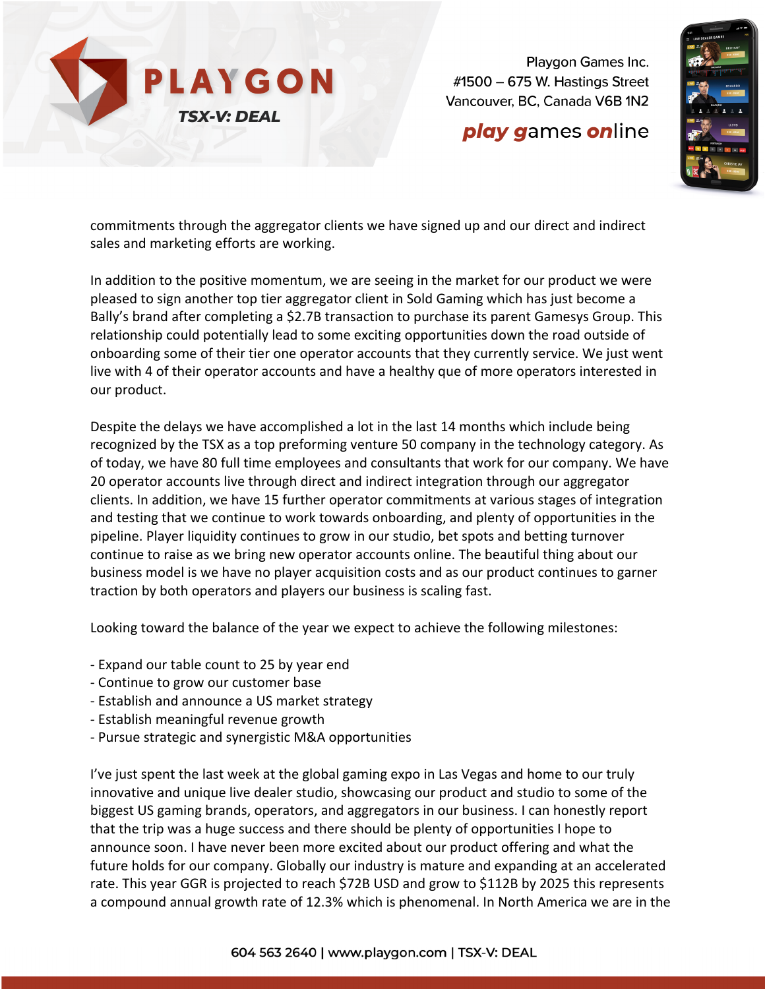

## **play games online**



commitments through the aggregator clients we have signed up and our direct and indirect sales and marketing efforts are working.

In addition to the positive momentum, we are seeing in the market for our product we were pleased to sign another top tier aggregator client in Sold Gaming which has just become a Bally's brand after completing a \$2.7B transaction to purchase its parent Gamesys Group. This relationship could potentially lead to some exciting opportunities down the road outside of onboarding some of their tier one operator accounts that they currently service. We just went live with 4 of their operator accounts and have a healthy que of more operators interested in our product.

Despite the delays we have accomplished a lot in the last 14 months which include being recognized by the TSX as a top preforming venture 50 company in the technology category. As of today, we have 80 full time employees and consultants that work for our company. We have 20 operator accounts live through direct and indirect integration through our aggregator clients. In addition, we have 15 further operator commitments at various stages of integration and testing that we continue to work towards onboarding, and plenty of opportunities in the pipeline. Player liquidity continues to grow in our studio, bet spots and betting turnover continue to raise as we bring new operator accounts online. The beautiful thing about our business model is we have no player acquisition costs and as our product continues to garner traction by both operators and players our business is scaling fast.

Looking toward the balance of the year we expect to achieve the following milestones:

- Expand our table count to 25 by year end
- Continue to grow our customer base
- Establish and announce a US market strategy
- Establish meaningful revenue growth
- Pursue strategic and synergistic M&A opportunities

I've just spent the last week at the global gaming expo in Las Vegas and home to our truly innovative and unique live dealer studio, showcasing our product and studio to some of the biggest US gaming brands, operators, and aggregators in our business. I can honestly report that the trip was a huge success and there should be plenty of opportunities I hope to announce soon. I have never been more excited about our product offering and what the future holds for our company. Globally our industry is mature and expanding at an accelerated rate. This year GGR is projected to reach \$72B USD and grow to \$112B by 2025 this represents a compound annual growth rate of 12.3% which is phenomenal. In North America we are in the